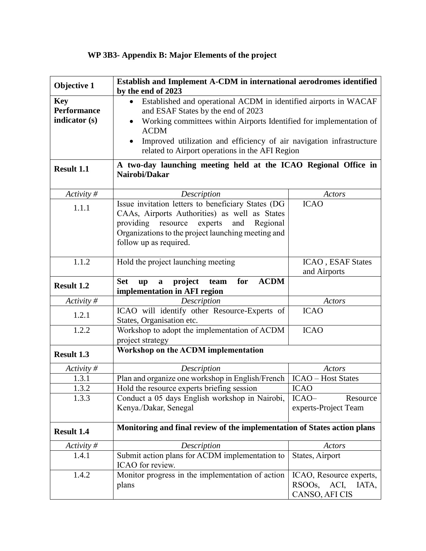## **WP 3B3- Appendix B: Major Elements of the project**

| Objective 1                                       | Establish and Implement A-CDM in international aerodromes identified<br>by the end of 2023                                                                                                                                                                                                                                                                     |                                                                      |  |
|---------------------------------------------------|----------------------------------------------------------------------------------------------------------------------------------------------------------------------------------------------------------------------------------------------------------------------------------------------------------------------------------------------------------------|----------------------------------------------------------------------|--|
| <b>Key</b><br><b>Performance</b><br>indicator (s) | Established and operational ACDM in identified airports in WACAF<br>$\bullet$<br>and ESAF States by the end of 2023<br>Working committees within Airports Identified for implementation of<br>$\bullet$<br><b>ACDM</b><br>Improved utilization and efficiency of air navigation infrastructure<br>$\bullet$<br>related to Airport operations in the AFI Region |                                                                      |  |
| Result 1.1                                        | A two-day launching meeting held at the ICAO Regional Office in<br>Nairobi/Dakar                                                                                                                                                                                                                                                                               |                                                                      |  |
| Activity #                                        | Description                                                                                                                                                                                                                                                                                                                                                    | Actors                                                               |  |
| 1.1.1                                             | Issue invitation letters to beneficiary States (DG<br>CAAs, Airports Authorities) as well as States<br>experts<br>providing resource<br>and<br>Regional<br>Organizations to the project launching meeting and<br>follow up as required.                                                                                                                        | <b>ICAO</b>                                                          |  |
| 1.1.2                                             | Hold the project launching meeting                                                                                                                                                                                                                                                                                                                             | ICAO, ESAF States<br>and Airports                                    |  |
| <b>Result 1.2</b>                                 | <b>ACDM</b><br>project<br>for<br><b>Set</b><br>$\mathbf{u}\mathbf{p}$<br>team<br>$\mathbf{a}$<br>implementation in AFI region                                                                                                                                                                                                                                  |                                                                      |  |
| Activity #                                        | Description                                                                                                                                                                                                                                                                                                                                                    | Actors                                                               |  |
| 1.2.1                                             | ICAO will identify other Resource-Experts of<br>States, Organisation etc.                                                                                                                                                                                                                                                                                      | <b>ICAO</b>                                                          |  |
| 1.2.2                                             | Workshop to adopt the implementation of ACDM<br>project strategy                                                                                                                                                                                                                                                                                               | <b>ICAO</b>                                                          |  |
| <b>Result 1.3</b>                                 | Workshop on the ACDM implementation                                                                                                                                                                                                                                                                                                                            |                                                                      |  |
| Activity#                                         | Description                                                                                                                                                                                                                                                                                                                                                    | Actors                                                               |  |
| 1.3.1                                             | Plan and organize one workshop in English/French                                                                                                                                                                                                                                                                                                               | <b>ICAO</b> – Host States                                            |  |
| 1.3.2                                             | Hold the resource experts briefing session                                                                                                                                                                                                                                                                                                                     | <b>ICAO</b>                                                          |  |
| 1.3.3                                             | Conduct a 05 days English workshop in Nairobi,<br>Kenya./Dakar, Senegal                                                                                                                                                                                                                                                                                        | ICAO-<br>Resource<br>experts-Project Team                            |  |
| <b>Result 1.4</b>                                 | Monitoring and final review of the implementation of States action plans                                                                                                                                                                                                                                                                                       |                                                                      |  |
| Activity#                                         | Description                                                                                                                                                                                                                                                                                                                                                    | Actors                                                               |  |
| 1.4.1                                             | Submit action plans for ACDM implementation to<br>ICAO for review.                                                                                                                                                                                                                                                                                             | States, Airport                                                      |  |
| 1.4.2                                             | Monitor progress in the implementation of action<br>plans                                                                                                                                                                                                                                                                                                      | ICAO, Resource experts,<br>RSOOs,<br>ACI,<br>IATA,<br>CANSO, AFI CIS |  |